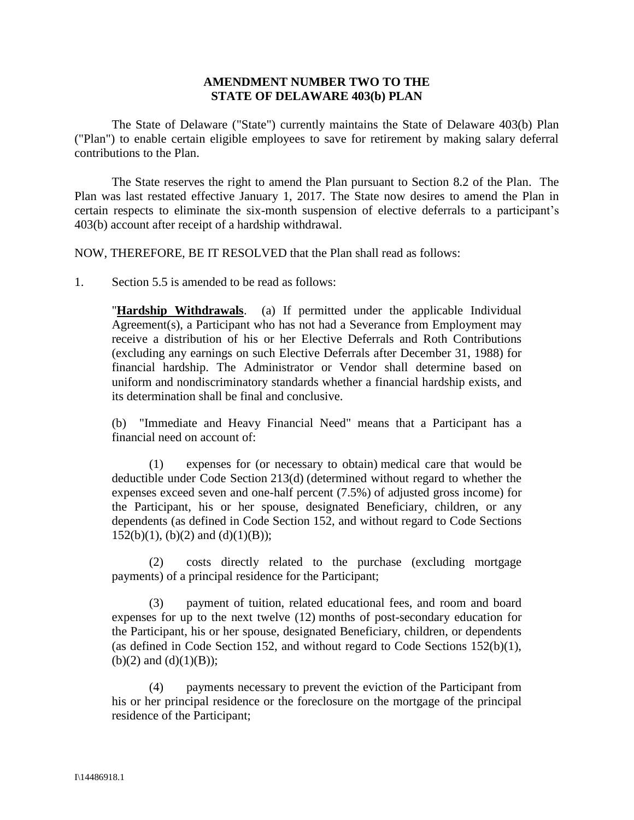## **AMENDMENT NUMBER TWO TO THE STATE OF DELAWARE 403(b) PLAN**

The State of Delaware ("State") currently maintains the State of Delaware 403(b) Plan ("Plan") to enable certain eligible employees to save for retirement by making salary deferral contributions to the Plan.

The State reserves the right to amend the Plan pursuant to Section 8.2 of the Plan. The Plan was last restated effective January 1, 2017. The State now desires to amend the Plan in certain respects to eliminate the six-month suspension of elective deferrals to a participant's 403(b) account after receipt of a hardship withdrawal.

NOW, THEREFORE, BE IT RESOLVED that the Plan shall read as follows:

1. Section 5.5 is amended to be read as follows:

"**Hardship Withdrawals**. (a) If permitted under the applicable Individual Agreement(s), a Participant who has not had a Severance from Employment may receive a distribution of his or her Elective Deferrals and Roth Contributions (excluding any earnings on such Elective Deferrals after December 31, 1988) for financial hardship. The Administrator or Vendor shall determine based on uniform and nondiscriminatory standards whether a financial hardship exists, and its determination shall be final and conclusive.

(b) "Immediate and Heavy Financial Need" means that a Participant has a financial need on account of:

(1) expenses for (or necessary to obtain) medical care that would be deductible under Code Section 213(d) (determined without regard to whether the expenses exceed seven and one-half percent (7.5%) of adjusted gross income) for the Participant, his or her spouse, designated Beneficiary, children, or any dependents (as defined in Code Section 152, and without regard to Code Sections  $152(b)(1)$ , (b)(2) and (d)(1)(B));

(2) costs directly related to the purchase (excluding mortgage payments) of a principal residence for the Participant;

(3) payment of tuition, related educational fees, and room and board expenses for up to the next twelve (12) months of post-secondary education for the Participant, his or her spouse, designated Beneficiary, children, or dependents (as defined in Code Section 152, and without regard to Code Sections 152(b)(1), (b)(2) and (d)(1)(B));

(4) payments necessary to prevent the eviction of the Participant from his or her principal residence or the foreclosure on the mortgage of the principal residence of the Participant;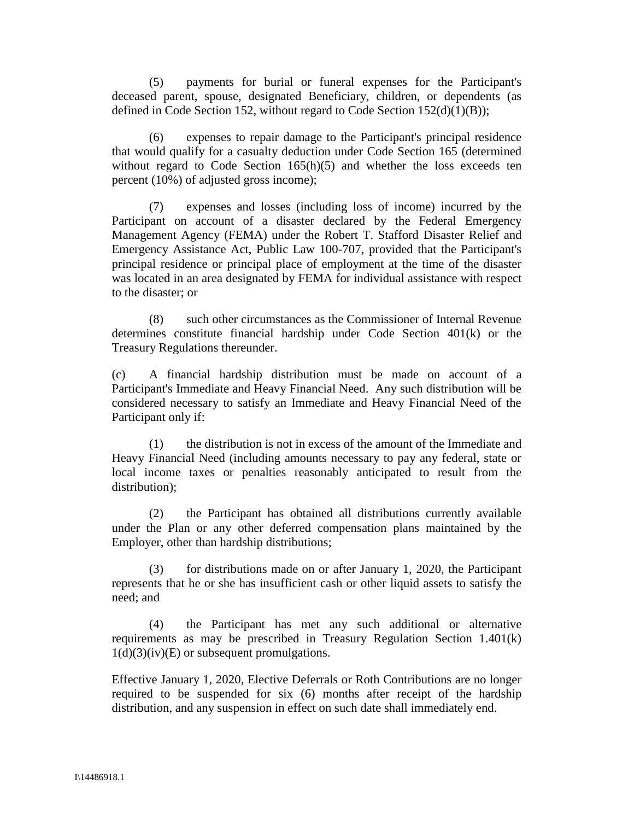(5) payments for burial or funeral expenses for the Participant's deceased parent, spouse, designated Beneficiary, children, or dependents (as defined in Code Section 152, without regard to Code Section  $152(d)(1)(B)$ ;

(6) expenses to repair damage to the Participant's principal residence that would qualify for a casualty deduction under Code Section 165 (determined without regard to Code Section 165(h)(5) and whether the loss exceeds ten percent (10%) of adjusted gross income);

(7) expenses and losses (including loss of income) incurred by the Participant on account of a disaster declared by the Federal Emergency Management Agency (FEMA) under the Robert T. Stafford Disaster Relief and Emergency Assistance Act, Public Law 100-707, provided that the Participant's principal residence or principal place of employment at the time of the disaster was located in an area designated by FEMA for individual assistance with respect to the disaster; or

(8) such other circumstances as the Commissioner of Internal Revenue determines constitute financial hardship under Code Section 401(k) or the Treasury Regulations thereunder.

(c) A financial hardship distribution must be made on account of a Participant's Immediate and Heavy Financial Need. Any such distribution will be considered necessary to satisfy an Immediate and Heavy Financial Need of the Participant only if:

(1) the distribution is not in excess of the amount of the Immediate and Heavy Financial Need (including amounts necessary to pay any federal, state or local income taxes or penalties reasonably anticipated to result from the distribution):

(2) the Participant has obtained all distributions currently available under the Plan or any other deferred compensation plans maintained by the Employer, other than hardship distributions;

(3) for distributions made on or after January 1, 2020, the Participant represents that he or she has insufficient cash or other liquid assets to satisfy the need; and

(4) the Participant has met any such additional or alternative requirements as may be prescribed in Treasury Regulation Section 1.401(k)  $1(d)(3)(iv)(E)$  or subsequent promulgations.

Effective January 1, 2020, Elective Deferrals or Roth Contributions are no longer required to be suspended for six (6) months after receipt of the hardship distribution, and any suspension in effect on such date shall immediately end.